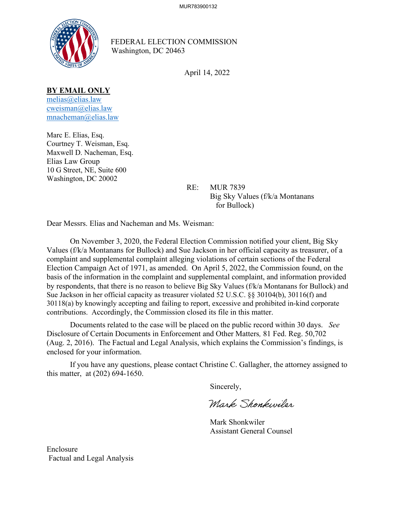

FEDERAL ELECTION COMMISSION Washington, DC 20463

April 14, 2022

### **BY EMAIL ONLY**

[melias@elias.law](mailto:melias@elias.law) [cweisman@elias.law](mailto:cweisman@elias.law) [mnacheman@elias.law](mailto:mnacheman@elias.law)

Marc E. Elias, Esq. Courtney T. Weisman, Esq. Maxwell D. Nacheman, Esq. Elias Law Group 10 G Street, NE, Suite 600 Washington, DC 20002

 RE: MUR 7839 Big Sky Values (f/k/a Montanans for Bullock)

Dear Messrs. Elias and Nacheman and Ms. Weisman:

On November 3, 2020, the Federal Election Commission notified your client, Big Sky Values (f/k/a Montanans for Bullock) and Sue Jackson in her official capacity as treasurer, of a complaint and supplemental complaint alleging violations of certain sections of the Federal Election Campaign Act of 1971, as amended. On April 5, 2022, the Commission found, on the basis of the information in the complaint and supplemental complaint, and information provided by respondents, that there is no reason to believe Big Sky Values (f/k/a Montanans for Bullock) and Sue Jackson in her official capacity as treasurer violated 52 U.S.C. §§ 30104(b), 30116(f) and 30118(a) by knowingly accepting and failing to report, excessive and prohibited in-kind corporate contributions. Accordingly, the Commission closed its file in this matter.

Documents related to the case will be placed on the public record within 30 days. *See*  Disclosure of Certain Documents in Enforcement and Other Matters*,* 81 Fed. Reg. 50,702 (Aug. 2, 2016). The Factual and Legal Analysis, which explains the Commission's findings, is enclosed for your information.

 If you have any questions, please contact Christine C. Gallagher, the attorney assigned to this matter, at (202) 694-1650.

Sincerely,

Mark Shonkwiler

 Mark Shonkwiler Assistant General Counsel

Enclosure Factual and Legal Analysis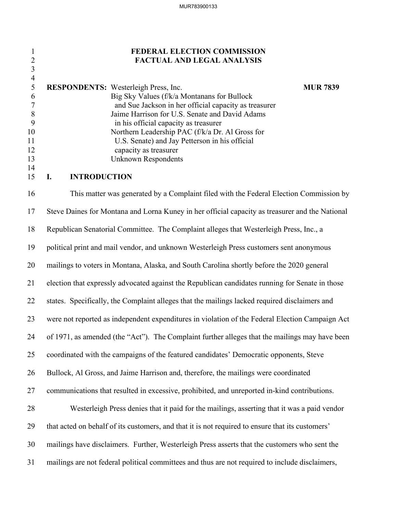## 1 **FEDERAL ELECTION COMMISSION** 2 **FACTUAL AND LEGAL ANALYSIS**

|     | <b>RESPONDENTS:</b> Westerleigh Press, Inc.           | <b>MUR 7839</b> |
|-----|-------------------------------------------------------|-----------------|
| 6   | Big Sky Values (f/k/a Montanans for Bullock           |                 |
|     | and Sue Jackson in her official capacity as treasurer |                 |
| - 8 | Jaime Harrison for U.S. Senate and David Adams        |                 |
|     | in his official capacity as treasurer                 |                 |
| 10  | Northern Leadership PAC (f/k/a Dr. Al Gross for       |                 |
| 11  | U.S. Senate) and Jay Petterson in his official        |                 |
| 12  | capacity as treasurer                                 |                 |
| 13  | Unknown Respondents                                   |                 |
| 14  |                                                       |                 |

## 15 **I. INTRODUCTION**

3 4

16 This matter was generated by a Complaint filed with the Federal Election Commission by 17 Steve Daines for Montana and Lorna Kuney in her official capacity as treasurer and the National 18 Republican Senatorial Committee. The Complaint alleges that Westerleigh Press, Inc., a 19 political print and mail vendor, and unknown Westerleigh Press customers sent anonymous 20 mailings to voters in Montana, Alaska, and South Carolina shortly before the 2020 general 21 election that expressly advocated against the Republican candidates running for Senate in those 22 states. Specifically, the Complaint alleges that the mailings lacked required disclaimers and 23 were not reported as independent expenditures in violation of the Federal Election Campaign Act 24 of 1971, as amended (the "Act"). The Complaint further alleges that the mailings may have been 25 coordinated with the campaigns of the featured candidates' Democratic opponents, Steve 26 Bullock, Al Gross, and Jaime Harrison and, therefore, the mailings were coordinated 27 communications that resulted in excessive, prohibited, and unreported in-kind contributions. 28 Westerleigh Press denies that it paid for the mailings, asserting that it was a paid vendor 29 that acted on behalf of its customers, and that it is not required to ensure that its customers' 30 mailings have disclaimers. Further, Westerleigh Press asserts that the customers who sent the 31 mailings are not federal political committees and thus are not required to include disclaimers,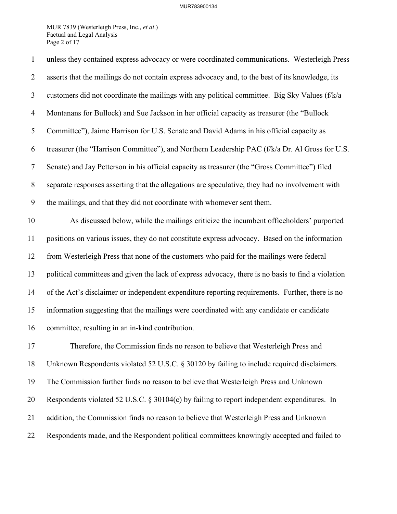### MUR783900134

MUR 7839 (Westerleigh Press, Inc., *et al*.) Factual and Legal Analysis Page 2 of 17

| $\mathbf{1}$     | unless they contained express advocacy or were coordinated communications. Westerleigh Press       |
|------------------|----------------------------------------------------------------------------------------------------|
| $\overline{2}$   | asserts that the mailings do not contain express advocacy and, to the best of its knowledge, its   |
| 3                | customers did not coordinate the mailings with any political committee. Big Sky Values (f/k/a      |
| $\overline{4}$   | Montanans for Bullock) and Sue Jackson in her official capacity as treasurer (the "Bullock         |
| 5                | Committee"), Jaime Harrison for U.S. Senate and David Adams in his official capacity as            |
| 6                | treasurer (the "Harrison Committee"), and Northern Leadership PAC (f/k/a Dr. Al Gross for U.S.     |
| $\tau$           | Senate) and Jay Petterson in his official capacity as treasurer (the "Gross Committee") filed      |
| $8\,$            | separate responses asserting that the allegations are speculative, they had no involvement with    |
| $\boldsymbol{9}$ | the mailings, and that they did not coordinate with whomever sent them.                            |
| 10               | As discussed below, while the mailings criticize the incumbent officeholders' purported            |
| 11               | positions on various issues, they do not constitute express advocacy. Based on the information     |
| 12               | from Westerleigh Press that none of the customers who paid for the mailings were federal           |
| 13               | political committees and given the lack of express advocacy, there is no basis to find a violation |
| 14               | of the Act's disclaimer or independent expenditure reporting requirements. Further, there is no    |
| 15               | information suggesting that the mailings were coordinated with any candidate or candidate          |
| 16               | committee, resulting in an in-kind contribution.                                                   |
| 17               | Therefore, the Commission finds no reason to believe that Westerleigh Press and                    |
| 18               | Unknown Respondents violated 52 U.S.C. § 30120 by failing to include required disclaimers.         |
| 19               | The Commission further finds no reason to believe that Westerleigh Press and Unknown               |
| 20               | Respondents violated 52 U.S.C. § 30104(c) by failing to report independent expenditures. In        |
| 21               | addition, the Commission finds no reason to believe that Westerleigh Press and Unknown             |
| 22               | Respondents made, and the Respondent political committees knowingly accepted and failed to         |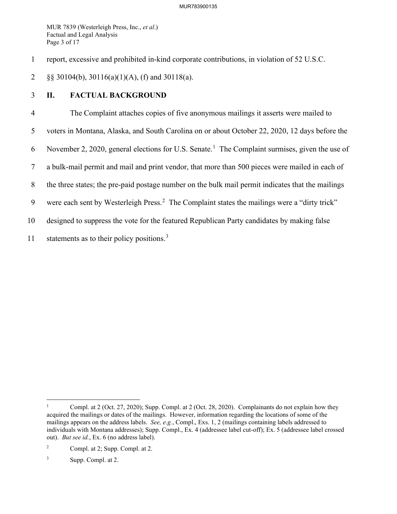MUR 7839 (Westerleigh Press, Inc., *et al*.) Factual and Legal Analysis Page 3 of 17

1 report, excessive and prohibited in-kind corporate contributions, in violation of 52 U.S.C.

2 §§ 30104(b), 30116(a)(1)(A), (f) and 30118(a).

# 3 **II. FACTUAL BACKGROUND**

4 The Complaint attaches copies of five anonymous mailings it asserts were mailed to 5 voters in Montana, Alaska, and South Carolina on or about October 22, 2020, 12 days before the 6 November 2, 2020, general elections for U.S. Senate.<sup>[1](#page-3-0)</sup> The Complaint surmises, given the use of 7 a bulk-mail permit and mail and print vendor, that more than 500 pieces were mailed in each of 8 the three states; the pre-paid postage number on the bulk mail permit indicates that the mailings 9 were each sent by Westerleigh Press.<sup>[2](#page-3-1)</sup> The Complaint states the mailings were a "dirty trick" 10 designed to suppress the vote for the featured Republican Party candidates by making false 11 statements as to their policy positions.<sup>[3](#page-3-2)</sup>

<span id="page-3-0"></span><sup>1</sup> Compl. at 2 (Oct. 27, 2020); Supp. Compl. at 2 (Oct. 28, 2020). Complainants do not explain how they acquired the mailings or dates of the mailings. However, information regarding the locations of some of the mailings appears on the address labels. *See, e.g.*, Compl., Exs. 1, 2 (mailings containing labels addressed to individuals with Montana addresses); Supp. Compl., Ex. 4 (addressee label cut-off); Ex. 5 (addressee label crossed out). *But see id.*, Ex. 6 (no address label).

<span id="page-3-1"></span><sup>2</sup> Compl. at 2; Supp. Compl. at 2.

<span id="page-3-2"></span><sup>3</sup> Supp. Compl. at 2.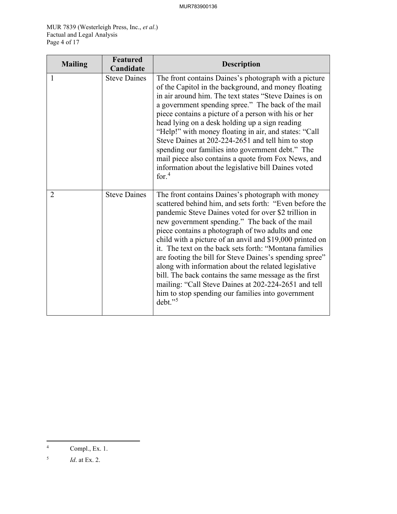MUR 7839 (Westerleigh Press, Inc., *et al*.) Factual and Legal Analysis Page 4 of 17

| <b>Mailing</b> | Featured<br>Candidate | <b>Description</b>                                                                                                                                                                                                                                                                                                                                                                                                                                                                                                                                                                                                                                                                                      |
|----------------|-----------------------|---------------------------------------------------------------------------------------------------------------------------------------------------------------------------------------------------------------------------------------------------------------------------------------------------------------------------------------------------------------------------------------------------------------------------------------------------------------------------------------------------------------------------------------------------------------------------------------------------------------------------------------------------------------------------------------------------------|
| 1              | <b>Steve Daines</b>   | The front contains Daines's photograph with a picture<br>of the Capitol in the background, and money floating<br>in air around him. The text states "Steve Daines is on<br>a government spending spree." The back of the mail<br>piece contains a picture of a person with his or her<br>head lying on a desk holding up a sign reading<br>"Help!" with money floating in air, and states: "Call<br>Steve Daines at 202-224-2651 and tell him to stop<br>spending our families into government debt." The<br>mail piece also contains a quote from Fox News, and<br>information about the legislative bill Daines voted<br>for. $4$                                                                     |
| 2              | <b>Steve Daines</b>   | The front contains Daines's photograph with money<br>scattered behind him, and sets forth: "Even before the<br>pandemic Steve Daines voted for over \$2 trillion in<br>new government spending." The back of the mail<br>piece contains a photograph of two adults and one<br>child with a picture of an anvil and \$19,000 printed on<br>it. The text on the back sets forth: "Montana families"<br>are footing the bill for Steve Daines's spending spree"<br>along with information about the related legislative<br>bill. The back contains the same message as the first<br>mailing: "Call Steve Daines at 202-224-2651 and tell<br>him to stop spending our families into government<br>$debt.$ " |

<span id="page-4-0"></span><sup>4</sup> Compl., Ex. 1.

<span id="page-4-1"></span><sup>5</sup> *Id*. at Ex. 2.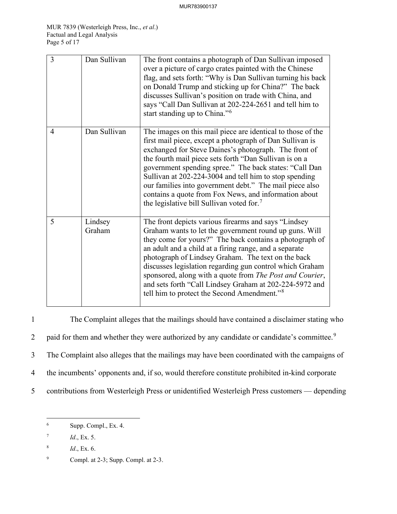| 3              | Dan Sullivan      | The front contains a photograph of Dan Sullivan imposed<br>over a picture of cargo crates painted with the Chinese<br>flag, and sets forth: "Why is Dan Sullivan turning his back<br>on Donald Trump and sticking up for China?" The back<br>discusses Sullivan's position on trade with China, and<br>says "Call Dan Sullivan at 202-224-2651 and tell him to<br>start standing up to China." <sup>6</sup>                                                                                                                                 |
|----------------|-------------------|---------------------------------------------------------------------------------------------------------------------------------------------------------------------------------------------------------------------------------------------------------------------------------------------------------------------------------------------------------------------------------------------------------------------------------------------------------------------------------------------------------------------------------------------|
| $\overline{4}$ | Dan Sullivan      | The images on this mail piece are identical to those of the<br>first mail piece, except a photograph of Dan Sullivan is<br>exchanged for Steve Daines's photograph. The front of<br>the fourth mail piece sets forth "Dan Sullivan is on a<br>government spending spree." The back states: "Call Dan<br>Sullivan at 202-224-3004 and tell him to stop spending<br>our families into government debt." The mail piece also<br>contains a quote from Fox News, and information about<br>the legislative bill Sullivan voted for. <sup>7</sup> |
| 5              | Lindsey<br>Graham | The front depicts various firearms and says "Lindsey<br>Graham wants to let the government round up guns. Will<br>they come for yours?" The back contains a photograph of<br>an adult and a child at a firing range, and a separate<br>photograph of Lindsey Graham. The text on the back<br>discusses legislation regarding gun control which Graham<br>sponsored, along with a quote from The Post and Courier,<br>and sets forth "Call Lindsey Graham at 202-224-5972 and<br>tell him to protect the Second Amendment." <sup>8</sup>     |

1 The Complaint alleges that the mailings should have contained a disclaimer stating who 2 paid for them and whether they were authorized by any candidate or candidate's committee.<sup>[9](#page-5-3)</sup> 3 The Complaint also alleges that the mailings may have been coordinated with the campaigns of 4 the incumbents' opponents and, if so, would therefore constitute prohibited in-kind corporate 5 contributions from Westerleigh Press or unidentified Westerleigh Press customers — depending

<span id="page-5-0"></span><sup>6</sup> Supp. Compl., Ex. 4.

<span id="page-5-1"></span><sup>7</sup> *Id*., Ex. 5.

<span id="page-5-2"></span><sup>8</sup> *Id*., Ex. 6.

<span id="page-5-3"></span><sup>9</sup> Compl. at 2-3; Supp. Compl. at 2-3.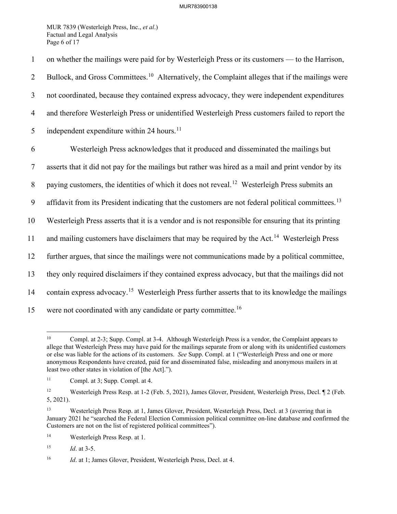MUR 7839 (Westerleigh Press, Inc., *et al*.) Factual and Legal Analysis Page 6 of 17

1 on whether the mailings were paid for by Westerleigh Press or its customers — to the Harrison, 2 Bullock, and Gross Committees.<sup>[10](#page-6-0)</sup> Alternatively, the Complaint alleges that if the mailings were 3 not coordinated, because they contained express advocacy, they were independent expenditures 4 and therefore Westerleigh Press or unidentified Westerleigh Press customers failed to report the 5 independent expenditure within 24 hours.<sup>[11](#page-6-1)</sup> 6 Westerleigh Press acknowledges that it produced and disseminated the mailings but 7 asserts that it did not pay for the mailings but rather was hired as a mail and print vendor by its 8 paying customers, the identities of which it does not reveal.<sup>[12](#page-6-2)</sup> Westerleigh Press submits an 9 affidavit from its President indicating that the customers are not federal political committees.<sup>[13](#page-6-3)</sup> 10 Westerleigh Press asserts that it is a vendor and is not responsible for ensuring that its printing 11 and mailing customers have disclaimers that may be required by the Act.<sup>[14](#page-6-4)</sup> Westerleigh Press 12 further argues, that since the mailings were not communications made by a political committee, 13 they only required disclaimers if they contained express advocacy, but that the mailings did not 14 contain express advocacy.<sup>[15](#page-6-5)</sup> Westerleigh Press further asserts that to its knowledge the mailings 15 were not coordinated with any candidate or party committee.<sup>[16](#page-6-6)</sup>

<span id="page-6-7"></span><span id="page-6-0"></span><sup>&</sup>lt;sup>10</sup> Compl. at 2-3; Supp. Compl. at 3-4. Although Westerleigh Press is a vendor, the Complaint appears to allege that Westerleigh Press may have paid for the mailings separate from or along with its unidentified customers or else was liable for the actions of its customers. *See* Supp. Compl. at 1 ("Westerleigh Press and one or more anonymous Respondents have created, paid for and disseminated false, misleading and anonymous mailers in at least two other states in violation of [the Act].").

<span id="page-6-1"></span><sup>11</sup> Compl. at 3; Supp. Compl. at 4.

<span id="page-6-2"></span><sup>&</sup>lt;sup>12</sup> Westerleigh Press Resp. at 1-2 (Feb. 5, 2021), James Glover, President, Westerleigh Press, Decl. ¶ 2 (Feb. 5, 2021).

<span id="page-6-3"></span><sup>13</sup> Westerleigh Press Resp. at 1, James Glover, President, Westerleigh Press, Decl. at 3 (averring that in January 2021 he "searched the Federal Election Commission political committee on-line database and confirmed the Customers are not on the list of registered political committees").

<span id="page-6-4"></span><sup>14</sup> Westerleigh Press Resp. at 1.

<span id="page-6-5"></span><sup>15</sup> *Id*. at 3-5.

<span id="page-6-6"></span><sup>&</sup>lt;sup>16</sup> *Id.* at 1; James Glover, President, Westerleigh Press, Decl. at 4.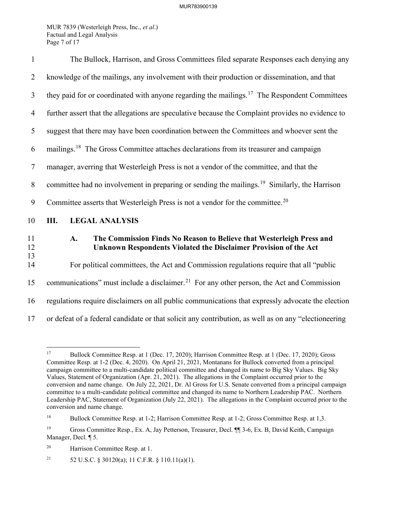MUR 7839 (Westerleigh Press, Inc., *et al*.) Factual and Legal Analysis Page 7 of 17

| $\mathbf{1}$   | The Bullock, Harrison, and Gross Committees filed separate Responses each denying any                                                          |  |
|----------------|------------------------------------------------------------------------------------------------------------------------------------------------|--|
| $\overline{2}$ | knowledge of the mailings, any involvement with their production or dissemination, and that                                                    |  |
| $\mathfrak{Z}$ | they paid for or coordinated with anyone regarding the mailings. <sup>17</sup> The Respondent Committees                                       |  |
| $\overline{4}$ | further assert that the allegations are speculative because the Complaint provides no evidence to                                              |  |
| 5              | suggest that there may have been coordination between the Committees and whoever sent the                                                      |  |
| 6              | mailings. <sup>18</sup> The Gross Committee attaches declarations from its treasurer and campaign                                              |  |
| $\overline{7}$ | manager, averring that Westerleigh Press is not a vendor of the committee, and that the                                                        |  |
| 8              | committee had no involvement in preparing or sending the mailings. <sup>19</sup> Similarly, the Harrison                                       |  |
| 9              | Committee asserts that Westerleigh Press is not a vendor for the committee. <sup>20</sup>                                                      |  |
| 10             | Ш.<br><b>LEGAL ANALYSIS</b>                                                                                                                    |  |
| 11<br>12       | The Commission Finds No Reason to Believe that Westerleigh Press and<br>A.<br>Unknown Respondents Violated the Disclaimer Provision of the Act |  |
| 13<br>14       | For political committees, the Act and Commission regulations require that all "public                                                          |  |
| 15             | communications" must include a disclaimer. <sup>21</sup> For any other person, the Act and Commission                                          |  |
| 16             | regulations require disclaimers on all public communications that expressly advocate the election                                              |  |
| 17             | or defeat of a federal candidate or that solicit any contribution, as well as on any "electioneering                                           |  |

<span id="page-7-5"></span><span id="page-7-0"></span><sup>17</sup> Bullock Committee Resp. at 1 (Dec. 17, 2020); Harrison Committee Resp. at 1 (Dec. 17, 2020); Gross Committee Resp. at 1-2 (Dec. 4, 2020). On April 21, 2021, Montanans for Bullock converted from a principal campaign committee to a multi-candidate political committee and changed its name to Big Sky Values. Big Sky Values, Statement of Organization (Apr. 21, 2021). The allegations in the Complaint occurred prior to the conversion and name change. On July 22, 2021, Dr. Al Gross for U.S. Senate converted from a principal campaign committee to a multi-candidate political committee and changed its name to Northern Leadership PAC. Northern Leadership PAC, Statement of Organization (July 22, 2021). The allegations in the Complaint occurred prior to the conversion and name change.

<span id="page-7-1"></span><sup>&</sup>lt;sup>18</sup> Bullock Committee Resp. at 1-2; Harrison Committee Resp. at 1-2; Gross Committee Resp. at 1,3.

<span id="page-7-2"></span><sup>19</sup> Gross Committee Resp., Ex. A, Jay Petterson, Treasurer, Decl. ¶¶ 3-6, Ex. B, David Keith, Campaign Manager, Decl. ¶ 5.

<span id="page-7-3"></span><sup>20</sup> Harrison Committee Resp. at 1.

<span id="page-7-4"></span><sup>&</sup>lt;sup>21</sup> 52 U.S.C. § 30120(a); 11 C.F.R. § 110.11(a)(1).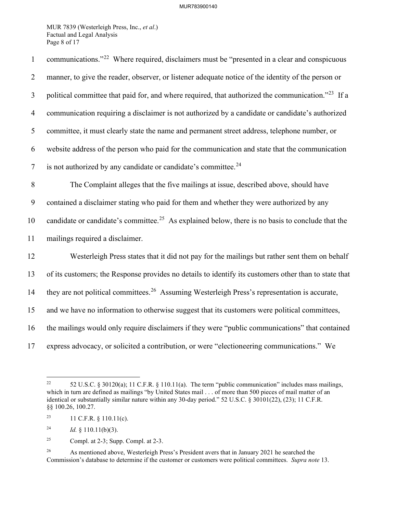MUR 7839 (Westerleigh Press, Inc., *et al*.) Factual and Legal Analysis Page 8 of 17

| $\mathbf{1}$   | communications." <sup>22</sup> Where required, disclaimers must be "presented in a clear and conspicuous      |
|----------------|---------------------------------------------------------------------------------------------------------------|
| $\overline{2}$ | manner, to give the reader, observer, or listener adequate notice of the identity of the person or            |
| 3              | political committee that paid for, and where required, that authorized the communication." <sup>23</sup> If a |
| $\overline{4}$ | communication requiring a disclaimer is not authorized by a candidate or candidate's authorized               |
| 5              | committee, it must clearly state the name and permanent street address, telephone number, or                  |
| 6              | website address of the person who paid for the communication and state that the communication                 |
| $\overline{7}$ | is not authorized by any candidate or candidate's committee. <sup>24</sup>                                    |
| $\, 8$         | The Complaint alleges that the five mailings at issue, described above, should have                           |
| 9              | contained a disclaimer stating who paid for them and whether they were authorized by any                      |
| 10             | candidate or candidate's committee. <sup>25</sup> As explained below, there is no basis to conclude that the  |
| 11             | mailings required a disclaimer.                                                                               |
| 12             | Westerleigh Press states that it did not pay for the mailings but rather sent them on behalf                  |
| 13             | of its customers; the Response provides no details to identify its customers other than to state that         |
| 14             | they are not political committees. <sup>26</sup> Assuming Westerleigh Press's representation is accurate,     |
| 15             | and we have no information to otherwise suggest that its customers were political committees,                 |
| 16             | the mailings would only require disclaimers if they were "public communications" that contained               |
| 17             | express advocacy, or solicited a contribution, or were "electioneering communications." We                    |

<span id="page-8-0"></span><sup>&</sup>lt;sup>22</sup> 52 U.S.C. § 30120(a); 11 C.F.R. § 110.11(a). The term "public communication" includes mass mailings, which in turn are defined as mailings "by United States mail . . . of more than 500 pieces of mail matter of an identical or substantially similar nature within any 30-day period." 52 U.S.C. § 30101(22), (23); 11 C.F.R. §§ 100.26, 100.27.

<span id="page-8-1"></span><sup>&</sup>lt;sup>23</sup> 11 C.F.R. § 110.11(c).

<span id="page-8-2"></span><sup>&</sup>lt;sup>24</sup> *Id.* § 110.11(b)(3).

<span id="page-8-3"></span><sup>&</sup>lt;sup>25</sup> Compl. at 2-3; Supp. Compl. at 2-3.

<span id="page-8-4"></span><sup>&</sup>lt;sup>26</sup> As mentioned above, Westerleigh Press's President avers that in January 2021 he searched the Commission's database to determine if the customer or customers were political committees. *Supra note* [13.](#page-6-7)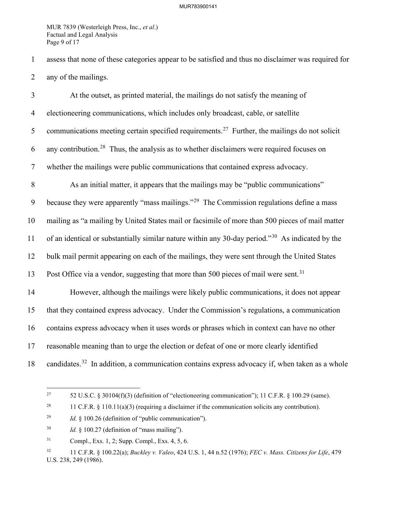MUR 7839 (Westerleigh Press, Inc., *et al*.) Factual and Legal Analysis Page 9 of 17

1 assess that none of these categories appear to be satisfied and thus no disclaimer was required for 2 any of the mailings.

3 At the outset, as printed material, the mailings do not satisfy the meaning of 4 electioneering communications, which includes only broadcast, cable, or satellite 5 communications meeting certain specified requirements.<sup>[27](#page-9-0)</sup> Further, the mailings do not solicit 6 any contribution.<sup>[28](#page-9-1)</sup> Thus, the analysis as to whether disclaimers were required focuses on 7 whether the mailings were public communications that contained express advocacy. 8 As an initial matter, it appears that the mailings may be "public communications" 9 because they were apparently "mass mailings."<sup>[29](#page-9-2)</sup> The Commission regulations define a mass 10 mailing as "a mailing by United States mail or facsimile of more than 500 pieces of mail matter 11 of an identical or substantially similar nature within any [30](#page-9-3)-day period."<sup>30</sup> As indicated by the 12 bulk mail permit appearing on each of the mailings, they were sent through the United States 13 Post Office via a vendor, suggesting that more than 500 pieces of mail were sent.<sup>[31](#page-9-4)</sup> 14 However, although the mailings were likely public communications, it does not appear 15 that they contained express advocacy. Under the Commission's regulations, a communication 16 contains express advocacy when it uses words or phrases which in context can have no other 17 reasonable meaning than to urge the election or defeat of one or more clearly identified 18 candidates.<sup>[32](#page-9-5)</sup> In addition, a communication contains express advocacy if, when taken as a whole

<span id="page-9-0"></span><sup>&</sup>lt;sup>27</sup> 52 U.S.C. § 30104(f)(3) (definition of "electioneering communication"); 11 C.F.R. § 100.29 (same).

<span id="page-9-1"></span><sup>&</sup>lt;sup>28</sup> 11 C.F.R. § 110.11(a)(3) (requiring a disclaimer if the communication solicits any contribution).

<span id="page-9-2"></span><sup>29</sup> *Id.* § 100.26 (definition of "public communication").

<span id="page-9-3"></span><sup>30</sup> *Id.* § 100.27 (definition of "mass mailing").

<span id="page-9-4"></span><sup>31</sup> Compl., Exs. 1, 2; Supp. Compl., Exs. 4, 5, 6.

<span id="page-9-5"></span><sup>32 11</sup> C.F.R. § 100.22(a); *Buckley v. Valeo*, 424 U.S. 1, 44 n.52 (1976); *FEC v. Mass. Citizens for Life*, 479 U.S. 238, 249 (1986).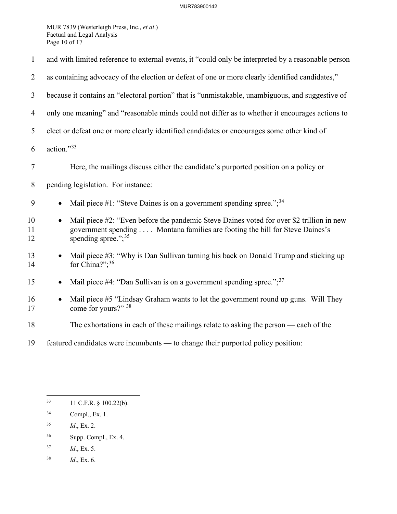MUR 7839 (Westerleigh Press, Inc., *et al*.) Factual and Legal Analysis Page 10 of 17

| $\mathbf{1}$   | and with limited reference to external events, it "could only be interpreted by a reasonable person                                                                                                             |  |  |
|----------------|-----------------------------------------------------------------------------------------------------------------------------------------------------------------------------------------------------------------|--|--|
| $\overline{2}$ | as containing advocacy of the election or defeat of one or more clearly identified candidates,"                                                                                                                 |  |  |
| 3              | because it contains an "electoral portion" that is "unmistakable, unambiguous, and suggestive of                                                                                                                |  |  |
| $\overline{4}$ | only one meaning" and "reasonable minds could not differ as to whether it encourages actions to                                                                                                                 |  |  |
| 5              | elect or defeat one or more clearly identified candidates or encourages some other kind of                                                                                                                      |  |  |
| 6              | action."33                                                                                                                                                                                                      |  |  |
| $\tau$         | Here, the mailings discuss either the candidate's purported position on a policy or                                                                                                                             |  |  |
| 8              | pending legislation. For instance:                                                                                                                                                                              |  |  |
| 9              | Mail piece #1: "Steve Daines is on a government spending spree."; $34$<br>$\bullet$                                                                                                                             |  |  |
| 10<br>11<br>12 | Mail piece #2: "Even before the pandemic Steve Daines voted for over \$2 trillion in new<br>$\bullet$<br>government spending Montana families are footing the bill for Steve Daines's<br>spending spree."; $35$ |  |  |
| 13<br>14       | Mail piece #3: "Why is Dan Sullivan turning his back on Donald Trump and sticking up<br>for China?"; $36$                                                                                                       |  |  |
| 15             | Mail piece #4: "Dan Sullivan is on a government spending spree."; <sup>37</sup>                                                                                                                                 |  |  |
| 16<br>17       | Mail piece #5 "Lindsay Graham wants to let the government round up guns. Will They<br>$\bullet$<br>come for yours?" 38                                                                                          |  |  |
| 18             | The exhortations in each of these mailings relate to asking the person — each of the                                                                                                                            |  |  |
| 19             | featured candidates were incumbents — to change their purported policy position:                                                                                                                                |  |  |

- <span id="page-10-2"></span>35 *Id*., Ex. 2.
- <span id="page-10-3"></span>36 Supp. Compl., Ex. 4.
- <span id="page-10-4"></span>37 *Id*., Ex. 5.
- <span id="page-10-5"></span>38 *Id*., Ex. 6.

<span id="page-10-0"></span><sup>33 11</sup> C.F.R. § 100.22(b).

<span id="page-10-1"></span><sup>34</sup> Compl., Ex. 1.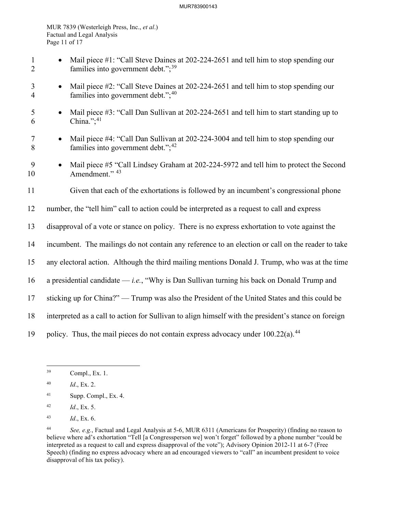#### MUR783900143

MUR 7839 (Westerleigh Press, Inc., *et al*.) Factual and Legal Analysis Page 11 of 17

- 1 Mail piece #1: "Call Steve Daines at 202-224-2651 and tell him to stop spending our 2 families into government debt.";<sup>[39](#page-11-0)</sup>
- 3 Mail piece #2: "Call Steve Daines at 202-224-2651 and tell him to stop spending our 4 families into government debt."; $40$
- 5 Mail piece #3: "Call Dan Sullivan at 202-224-2651 and tell him to start standing up to 6 China."; $41$
- 7 Mail piece #4: "Call Dan Sullivan at 202-224-3004 and tell him to stop spending our 8 families into government debt.";<sup>[42](#page-11-3)</sup>
- 9 Mail piece #5 "Call Lindsey Graham at 202-224-5972 and tell him to protect the Second 10 Amendment." <sup>[43](#page-11-4)</sup>
- 11 Given that each of the exhortations is followed by an incumbent's congressional phone
- 12 number, the "tell him" call to action could be interpreted as a request to call and express
- 13 disapproval of a vote or stance on policy. There is no express exhortation to vote against the
- 14 incumbent. The mailings do not contain any reference to an election or call on the reader to take
- 15 any electoral action. Although the third mailing mentions Donald J. Trump, who was at the time
- 16 a presidential candidate *i.e.*, "Why is Dan Sullivan turning his back on Donald Trump and
- 17 sticking up for China?" Trump was also the President of the United States and this could be
- 18 interpreted as a call to action for Sullivan to align himself with the president's stance on foreign
- 19 policy. Thus, the mail pieces do not contain express advocacy under  $100.22(a)$ .<sup>[44](#page-11-5)</sup>

- <span id="page-11-2"></span>41 Supp. Compl., Ex. 4.
- <span id="page-11-3"></span>42 *Id*., Ex. 5.
- <span id="page-11-4"></span>43 *Id*., Ex. 6.

<span id="page-11-0"></span><sup>39</sup> Compl., Ex. 1.

<span id="page-11-1"></span><sup>40</sup> *Id*., Ex. 2.

<span id="page-11-5"></span><sup>44</sup> *See, e.g.*, Factual and Legal Analysis at 5-6, MUR 6311 (Americans for Prosperity) (finding no reason to believe where ad's exhortation "Tell [a Congressperson we] won't forget" followed by a phone number "could be interpreted as a request to call and express disapproval of the vote"); Advisory Opinion 2012-11 at 6-7 (Free Speech) (finding no express advocacy where an ad encouraged viewers to "call" an incumbent president to voice disapproval of his tax policy).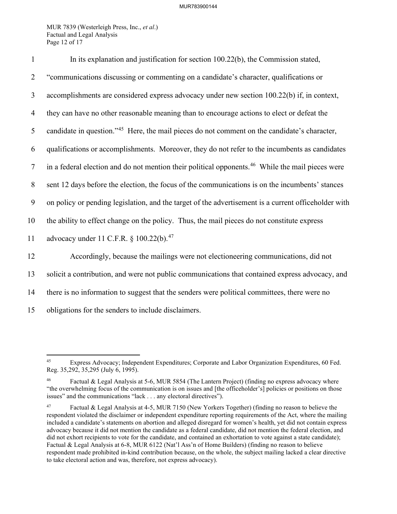MUR 7839 (Westerleigh Press, Inc., *et al*.) Factual and Legal Analysis Page 12 of 17

| $\mathbf{1}$   | In its explanation and justification for section 100.22(b), the Commission stated,                           |
|----------------|--------------------------------------------------------------------------------------------------------------|
| $\overline{2}$ | "communications discussing or commenting on a candidate's character, qualifications or                       |
| 3              | accomplishments are considered express advocacy under new section 100.22(b) if, in context,                  |
| $\overline{4}$ | they can have no other reasonable meaning than to encourage actions to elect or defeat the                   |
| 5              | candidate in question." <sup>45</sup> Here, the mail pieces do not comment on the candidate's character,     |
| 6              | qualifications or accomplishments. Moreover, they do not refer to the incumbents as candidates               |
| $\tau$         | in a federal election and do not mention their political opponents. <sup>46</sup> While the mail pieces were |
| 8              | sent 12 days before the election, the focus of the communications is on the incumbents' stances              |
| 9              | on policy or pending legislation, and the target of the advertisement is a current officeholder with         |
| 10             | the ability to effect change on the policy. Thus, the mail pieces do not constitute express                  |
| 11             | advocacy under 11 C.F.R. § 100.22(b). <sup>47</sup>                                                          |
| 12             | Accordingly, because the mailings were not electioneering communications, did not                            |
| 13             | solicit a contribution, and were not public communications that contained express advocacy, and              |
| 14             | there is no information to suggest that the senders were political committees, there were no                 |
| 15             | obligations for the senders to include disclaimers.                                                          |

<span id="page-12-0"></span><sup>45</sup> Express Advocacy; Independent Expenditures; Corporate and Labor Organization Expenditures, 60 Fed. Reg. 35,292, 35,295 (July 6, 1995).

<span id="page-12-1"></span>Factual & Legal Analysis at 5-6, MUR 5854 (The Lantern Project) (finding no express advocacy where "the overwhelming focus of the communication is on issues and [the officeholder's] policies or positions on those issues" and the communications "lack . . . any electoral directives").

<span id="page-12-2"></span><sup>47</sup> Factual & Legal Analysis at 4-5, MUR 7150 (New Yorkers Together) (finding no reason to believe the respondent violated the disclaimer or independent expenditure reporting requirements of the Act, where the mailing included a candidate's statements on abortion and alleged disregard for women's health, yet did not contain express advocacy because it did not mention the candidate as a federal candidate, did not mention the federal election, and did not exhort recipients to vote for the candidate, and contained an exhortation to vote against a state candidate); Factual & Legal Analysis at 6-8, MUR 6122 (Nat'l Ass'n of Home Builders) (finding no reason to believe respondent made prohibited in-kind contribution because, on the whole, the subject mailing lacked a clear directive to take electoral action and was, therefore, not express advocacy).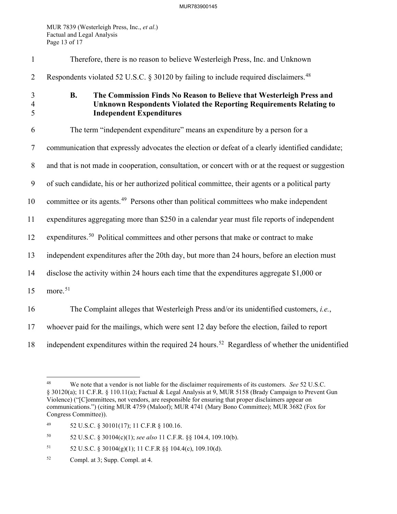MUR 7839 (Westerleigh Press, Inc., *et al*.) Factual and Legal Analysis Page 13 of 17

| $\mathbf{1}$             | Therefore, there is no reason to believe Westerleigh Press, Inc. and Unknown                                                                                                                |
|--------------------------|---------------------------------------------------------------------------------------------------------------------------------------------------------------------------------------------|
| $\overline{2}$           | Respondents violated 52 U.S.C. § 30120 by failing to include required disclaimers. <sup>48</sup>                                                                                            |
| 3<br>$\overline{4}$<br>5 | The Commission Finds No Reason to Believe that Westerleigh Press and<br><b>B.</b><br>Unknown Respondents Violated the Reporting Requirements Relating to<br><b>Independent Expenditures</b> |
| 6                        | The term "independent expenditure" means an expenditure by a person for a                                                                                                                   |
| $\tau$                   | communication that expressly advocates the election or defeat of a clearly identified candidate;                                                                                            |
| $8\phantom{.}$           | and that is not made in cooperation, consultation, or concert with or at the request or suggestion                                                                                          |
| 9                        | of such candidate, his or her authorized political committee, their agents or a political party                                                                                             |
| 10                       | committee or its agents. <sup>49</sup> Persons other than political committees who make independent                                                                                         |
| 11                       | expenditures aggregating more than \$250 in a calendar year must file reports of independent                                                                                                |
| 12                       | expenditures. <sup>50</sup> Political committees and other persons that make or contract to make                                                                                            |
| 13                       | independent expenditures after the 20th day, but more than 24 hours, before an election must                                                                                                |
| 14                       | disclose the activity within 24 hours each time that the expenditures aggregate \$1,000 or                                                                                                  |
| 15                       | more. <sup>51</sup>                                                                                                                                                                         |
| 16                       | The Complaint alleges that Westerleigh Press and/or its unidentified customers, i.e.,                                                                                                       |
| 17                       | whoever paid for the mailings, which were sent 12 day before the election, failed to report                                                                                                 |
| 18                       | independent expenditures within the required 24 hours. <sup>52</sup> Regardless of whether the unidentified                                                                                 |

<span id="page-13-2"></span>50 52 U.S.C. § 30104(c)(1); *see also* 11 C.F.R. §§ 104.4, 109.10(b).

- <span id="page-13-3"></span>51 52 U.S.C. § 30104(g)(1); 11 C.F.R §§ 104.4(c), 109.10(d).
- <span id="page-13-4"></span>52 Compl. at 3; Supp. Compl. at 4.

<span id="page-13-0"></span><sup>48</sup> We note that a vendor is not liable for the disclaimer requirements of its customers. *See* 52 U.S.C. § 30120(a); 11 C.F.R. § 110.11(a); Factual & Legal Analysis at 9, MUR 5158 (Brady Campaign to Prevent Gun Violence) ("[C]ommittees, not vendors, are responsible for ensuring that proper disclaimers appear on communications.") (citing MUR 4759 (Maloof); MUR 4741 (Mary Bono Committee); MUR 3682 (Fox for Congress Committee)).

<span id="page-13-1"></span><sup>49 52</sup> U.S.C. § 30101(17); 11 C.F.R § 100.16.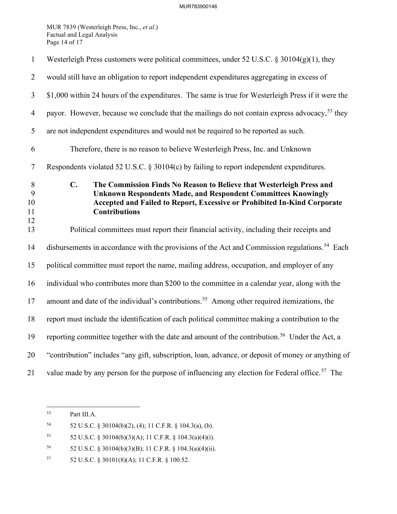MUR 7839 (Westerleigh Press, Inc., *et al*.) Factual and Legal Analysis Page 14 of 17

| $\mathbf{1}$             | Westerleigh Press customers were political committees, under 52 U.S.C. § 30104(g)(1), they                                                                                                                                                                         |
|--------------------------|--------------------------------------------------------------------------------------------------------------------------------------------------------------------------------------------------------------------------------------------------------------------|
| $\overline{2}$           | would still have an obligation to report independent expenditures aggregating in excess of                                                                                                                                                                         |
| $\overline{3}$           | \$1,000 within 24 hours of the expenditures. The same is true for Westerleigh Press if it were the                                                                                                                                                                 |
| $\overline{4}$           | payor. However, because we conclude that the mailings do not contain express advocacy, <sup>53</sup> they                                                                                                                                                          |
| 5                        | are not independent expenditures and would not be required to be reported as such.                                                                                                                                                                                 |
| 6                        | Therefore, there is no reason to believe Westerleigh Press, Inc. and Unknown                                                                                                                                                                                       |
| $\tau$                   | Respondents violated 52 U.S.C. § 30104(c) by failing to report independent expenditures.                                                                                                                                                                           |
| 8<br>9<br>10<br>11<br>12 | $\mathbf{C}$ .<br>The Commission Finds No Reason to Believe that Westerleigh Press and<br><b>Unknown Respondents Made, and Respondent Committees Knowingly</b><br>Accepted and Failed to Report, Excessive or Prohibited In-Kind Corporate<br><b>Contributions</b> |
| 13                       | Political committees must report their financial activity, including their receipts and                                                                                                                                                                            |
| 14                       | disbursements in accordance with the provisions of the Act and Commission regulations. <sup>54</sup> Each                                                                                                                                                          |
| 15                       | political committee must report the name, mailing address, occupation, and employer of any                                                                                                                                                                         |
| 16                       | individual who contributes more than \$200 to the committee in a calendar year, along with the                                                                                                                                                                     |
| 17                       | amount and date of the individual's contributions. <sup>55</sup> Among other required itemizations, the                                                                                                                                                            |
| 18                       | report must include the identification of each political committee making a contribution to the                                                                                                                                                                    |
| 19                       | reporting committee together with the date and amount of the contribution. <sup>56</sup> Under the Act, a                                                                                                                                                          |
| 20                       | "contribution" includes "any gift, subscription, loan, advance, or deposit of money or anything of                                                                                                                                                                 |
| 21                       | value made by any person for the purpose of influencing any election for Federal office. <sup>57</sup> The                                                                                                                                                         |

<span id="page-14-0"></span><sup>53</sup> Part III[.A.](#page-7-5) 

<span id="page-14-1"></span><sup>54 52</sup> U.S.C. § 30104(b)(2), (4); 11 C.F.R. § 104.3(a), (b).

<span id="page-14-2"></span><sup>55</sup> 52 U.S.C. § 30104(b)(3)(A); 11 C.F.R. § 104.3(a)(4)(i).

<span id="page-14-3"></span><sup>56 52</sup> U.S.C. § 30104(b)(3)(B); 11 C.F.R. § 104.3(a)(4)(ii).

<span id="page-14-4"></span><sup>57 52</sup> U.S.C. § 30101(8)(A); 11 C.F.R. § 100.52.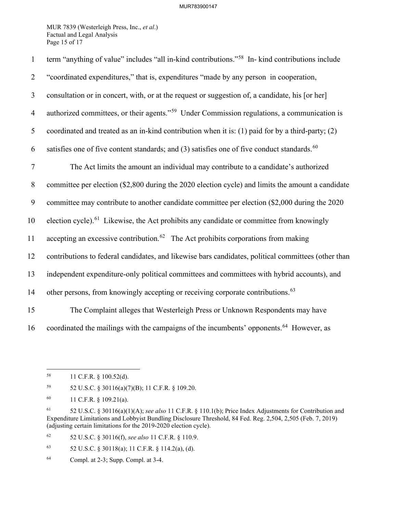MUR 7839 (Westerleigh Press, Inc., *et al*.) Factual and Legal Analysis Page 15 of 17

| $\mathbf{1}$   | term "anything of value" includes "all in-kind contributions." <sup>58</sup> In- kind contributions include |
|----------------|-------------------------------------------------------------------------------------------------------------|
| $\overline{2}$ | "coordinated expenditures," that is, expenditures "made by any person in cooperation,                       |
| $\mathfrak{Z}$ | consultation or in concert, with, or at the request or suggestion of, a candidate, his [or her]             |
| $\overline{4}$ | authorized committees, or their agents." <sup>59</sup> Under Commission regulations, a communication is     |
| 5              | coordinated and treated as an in-kind contribution when it is: (1) paid for by a third-party; (2)           |
| 6              | satisfies one of five content standards; and $(3)$ satisfies one of five conduct standards. <sup>60</sup>   |
| $\tau$         | The Act limits the amount an individual may contribute to a candidate's authorized                          |
| 8              | committee per election (\$2,800 during the 2020 election cycle) and limits the amount a candidate           |
| 9              | committee may contribute to another candidate committee per election (\$2,000 during the 2020               |
| 10             | election cycle). <sup>61</sup> Likewise, the Act prohibits any candidate or committee from knowingly        |
| 11             | accepting an excessive contribution. <sup>62</sup> The Act prohibits corporations from making               |
| 12             | contributions to federal candidates, and likewise bars candidates, political committees (other than         |
| 13             | independent expenditure-only political committees and committees with hybrid accounts), and                 |
| 14             | other persons, from knowingly accepting or receiving corporate contributions. <sup>63</sup>                 |
| 15             | The Complaint alleges that Westerleigh Press or Unknown Respondents may have                                |
| 16             | coordinated the mailings with the campaigns of the incumbents' opponents. <sup>64</sup> However, as         |

<span id="page-15-1"></span>59 52 U.S.C. § 30116(a)(7)(B); 11 C.F.R. § 109.20.

<span id="page-15-4"></span>62 52 U.S.C. § 30116(f), *see also* 11 C.F.R. § 110.9.

<span id="page-15-5"></span>63 52 U.S.C. § 30118(a); 11 C.F.R. § 114.2(a), (d).

<span id="page-15-0"></span><sup>58 11</sup> C.F.R. § 100.52(d).

<span id="page-15-2"></span><sup>60 11</sup> C.F.R. § 109.21(a).

<span id="page-15-3"></span><sup>61 52</sup> U.S.C. § 30116(a)(1)(A); *see also* 11 C.F.R. § 110.1(b); Price Index Adjustments for Contribution and Expenditure Limitations and Lobbyist Bundling Disclosure Threshold, 84 Fed. Reg. 2,504, 2,505 (Feb. 7, 2019) (adjusting certain limitations for the 2019-2020 election cycle).

<span id="page-15-6"></span><sup>64</sup> Compl. at 2-3; Supp. Compl. at 3-4.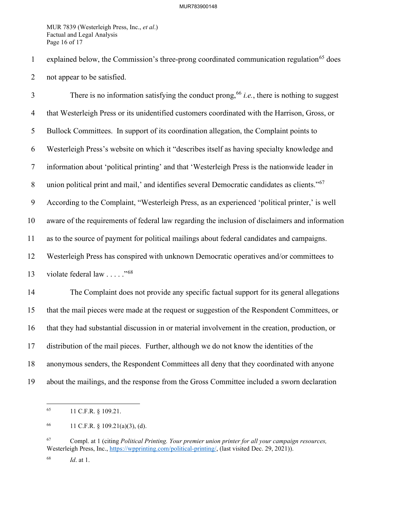MUR 7839 (Westerleigh Press, Inc., *et al*.) Factual and Legal Analysis Page 16 of 17

1 explained below, the Commission's three-prong coordinated communication regulation<sup>[65](#page-16-0)</sup> does 2 not appear to be satisfied.

There is no information satisfying the conduct prong,  $66$  *i.e.*, there is nothing to suggest 4 that Westerleigh Press or its unidentified customers coordinated with the Harrison, Gross, or 5 Bullock Committees. In support of its coordination allegation, the Complaint points to 6 Westerleigh Press's website on which it "describes itself as having specialty knowledge and 7 information about 'political printing' and that 'Westerleigh Press is the nationwide leader in 8 union political print and mail,' and identifies several Democratic candidates as clients."<sup>[67](#page-16-2)</sup> 9 According to the Complaint, "Westerleigh Press, as an experienced 'political printer,' is well 10 aware of the requirements of federal law regarding the inclusion of disclaimers and information 11 as to the source of payment for political mailings about federal candidates and campaigns. 12 Westerleigh Press has conspired with unknown Democratic operatives and/or committees to 13 violate federal law  $\ldots$  .  $\frac{1568}{156}$  $\frac{1568}{156}$  $\frac{1568}{156}$ 14 The Complaint does not provide any specific factual support for its general allegations 15 that the mail pieces were made at the request or suggestion of the Respondent Committees, or 16 that they had substantial discussion in or material involvement in the creation, production, or 17 distribution of the mail pieces. Further, although we do not know the identities of the 18 anonymous senders, the Respondent Committees all deny that they coordinated with anyone

<span id="page-16-0"></span>19 about the mailings, and the response from the Gross Committee included a sworn declaration

<sup>65 11</sup> C.F.R. § 109.21.

<span id="page-16-1"></span><sup>66 11</sup> C.F.R.  $\S$  109.21(a)(3), (d).

<span id="page-16-2"></span><sup>67</sup> Compl. at 1 (citing *Political Printing. Your premier union printer for all your campaign resources,* Westerleigh Press, Inc., [https://wpprinting.com/political-printing/,](https://wpprinting.com/political-printing/) (last visited Dec. 29, 2021)).

<span id="page-16-3"></span><sup>68</sup> *Id*. at 1.